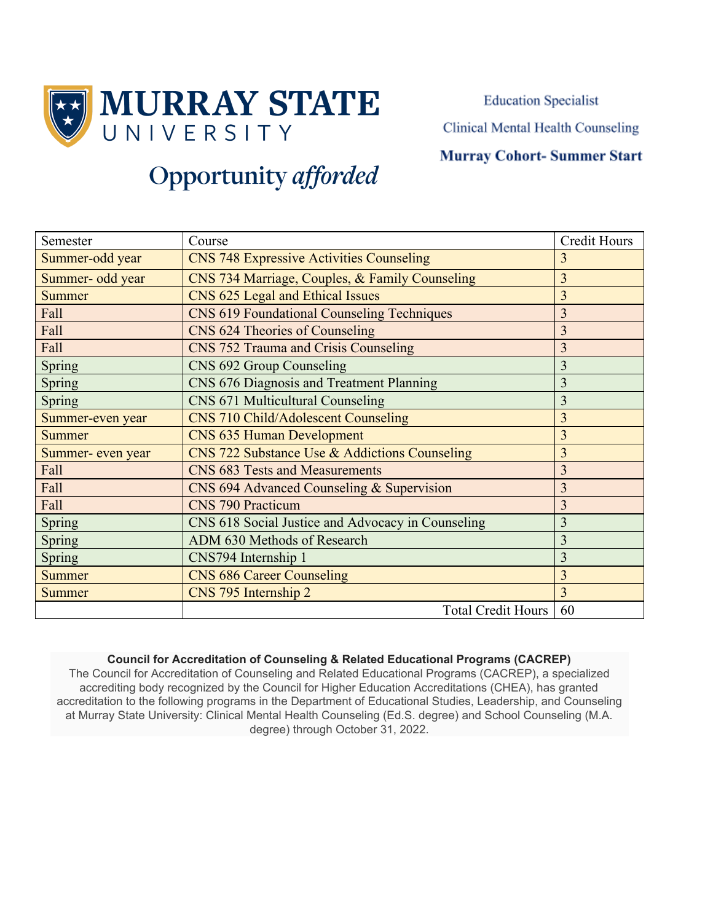

**Education Specialist** 

Clinical Mental Health Counseling

### **Murray Cohort-Summer Start**

# **Opportunity** afforded

| Semester          | Course                                            | <b>Credit Hours</b> |
|-------------------|---------------------------------------------------|---------------------|
| Summer-odd year   | <b>CNS 748 Expressive Activities Counseling</b>   | 3                   |
| Summer- odd year  | CNS 734 Marriage, Couples, & Family Counseling    | 3                   |
| <b>Summer</b>     | CNS 625 Legal and Ethical Issues                  | $\overline{3}$      |
| Fall              | <b>CNS 619 Foundational Counseling Techniques</b> | $\overline{3}$      |
| Fall              | CNS 624 Theories of Counseling                    | 3                   |
| Fall              | CNS 752 Trauma and Crisis Counseling              | $\overline{3}$      |
| Spring            | CNS 692 Group Counseling                          | $\overline{3}$      |
| Spring            | CNS 676 Diagnosis and Treatment Planning          | 3                   |
| <b>Spring</b>     | <b>CNS 671 Multicultural Counseling</b>           | 3                   |
| Summer-even year  | CNS 710 Child/Adolescent Counseling               | 3                   |
| <b>Summer</b>     | <b>CNS 635 Human Development</b>                  | 3                   |
| Summer- even year | CNS 722 Substance Use & Addictions Counseling     | 3                   |
| Fall              | <b>CNS 683 Tests and Measurements</b>             | $\overline{3}$      |
| Fall              | CNS 694 Advanced Counseling & Supervision         | $\overline{3}$      |
| Fall              | <b>CNS 790 Practicum</b>                          | 3                   |
| Spring            | CNS 618 Social Justice and Advocacy in Counseling | 3                   |
| Spring            | ADM 630 Methods of Research                       | 3                   |
| Spring            | CNS794 Internship 1                               | 3                   |
| <b>Summer</b>     | <b>CNS 686 Career Counseling</b>                  | 3                   |
| <b>Summer</b>     | CNS 795 Internship 2                              | 3                   |
|                   | <b>Total Credit Hours</b>                         | 60                  |

#### **Council for Accreditation of Counseling & Related Educational Programs (CACREP)**

The Council for Accreditation of Counseling and Related Educational Programs (CACREP), a specialized accrediting body recognized by the Council for Higher Education Accreditations (CHEA), has granted accreditation to the following programs in the Department of Educational Studies, Leadership, and Counseling at Murray State University: Clinical Mental Health Counseling (Ed.S. degree) and School Counseling (M.A. degree) through October 31, 2022.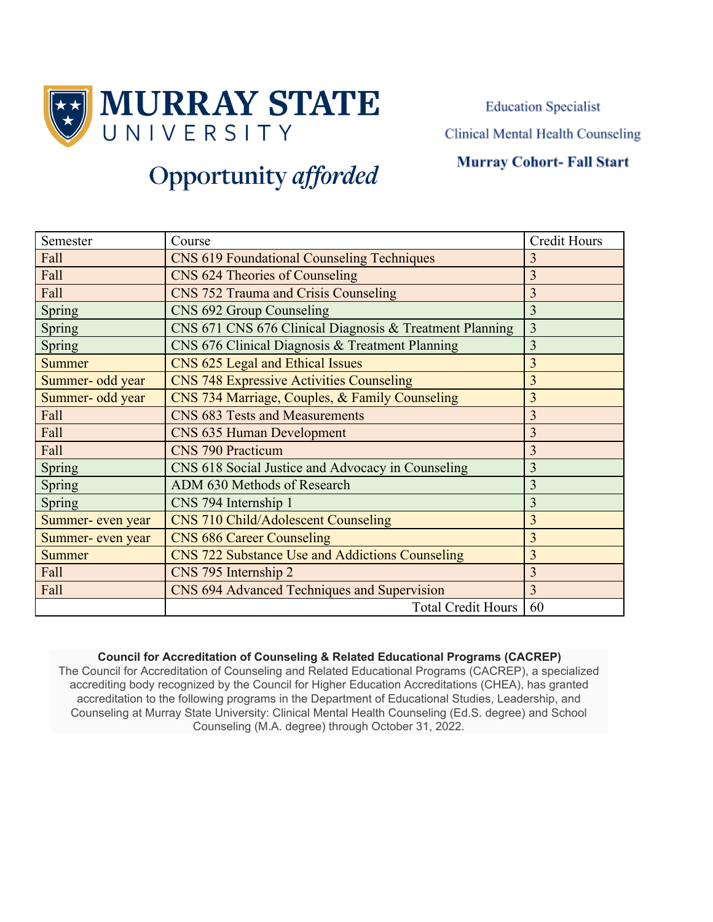

**Education Specialist** 

Clinical Mental Health Counseling

### **Murray Cohort-Fall Start**

## **Opportunity** afforded

| Semester          | Course                                                  | <b>Credit Hours</b> |
|-------------------|---------------------------------------------------------|---------------------|
| Fall              | <b>CNS 619 Foundational Counseling Techniques</b>       | 3                   |
| Fall              | CNS 624 Theories of Counseling                          | 3                   |
| Fall              | CNS 752 Trauma and Crisis Counseling                    | 3                   |
| Spring            | CNS 692 Group Counseling                                | 3                   |
| Spring            | CNS 671 CNS 676 Clinical Diagnosis & Treatment Planning | 3                   |
| Spring            | CNS 676 Clinical Diagnosis & Treatment Planning         | $\overline{3}$      |
| <b>Summer</b>     | CNS 625 Legal and Ethical Issues                        | $\overline{3}$      |
| Summer- odd year  | <b>CNS 748 Expressive Activities Counseling</b>         | 3                   |
| Summer- odd year  | CNS 734 Marriage, Couples, & Family Counseling          | 3                   |
| Fall              | CNS 683 Tests and Measurements                          | 3                   |
| Fall              | CNS 635 Human Development                               | 3                   |
| Fall              | <b>CNS 790 Practicum</b>                                | 3                   |
| Spring            | CNS 618 Social Justice and Advocacy in Counseling       | 3                   |
| Spring            | ADM 630 Methods of Research                             | 3                   |
| Spring            | CNS 794 Internship 1                                    | 3                   |
| Summer- even year | <b>CNS 710 Child/Adolescent Counseling</b>              | 3                   |
| Summer- even year | <b>CNS 686 Career Counseling</b>                        | 3                   |
| <b>Summer</b>     | CNS 722 Substance Use and Addictions Counseling         | $\overline{3}$      |
| Fall              | CNS 795 Internship 2                                    | 3                   |
| Fall              | CNS 694 Advanced Techniques and Supervision             | 3                   |
|                   | <b>Total Credit Hours</b>                               | 60                  |

#### **Council for Accreditation of Counseling & Related Educational Programs (CACREP)**

The Council for Accreditation of Counseling and Related Educational Programs (CACREP), a specialized accrediting body recognized by the Council for Higher Education Accreditations (CHEA), has granted accreditation to the following programs in the Department of Educational Studies, Leadership, and Counseling at Murray State University: Clinical Mental Health Counseling (Ed.S. degree) and School Counseling (M.A. degree) through October 31, 2022.